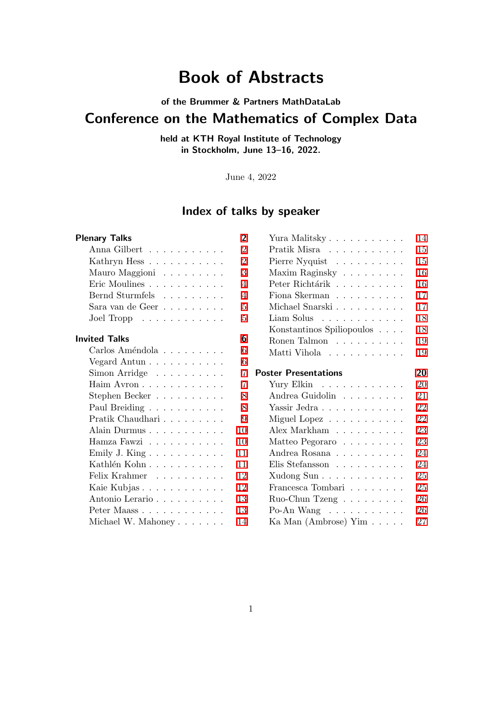# Book of Abstracts

of the Brummer & Partners MathDataLab

# Conference on the Mathematics of Complex Data

held at KTH Royal Institute of Technology in Stockholm, June 13–16, 2022.

June 4, 2022

# Index of talks by speaker

| <b>Plenary Talks</b>                                 | $\overline{\mathbf{2}}$ | Yura Malitsky                                                                    | $\overline{14}$ |
|------------------------------------------------------|-------------------------|----------------------------------------------------------------------------------|-----------------|
| Anna Gilbert                                         | $\mathbf{2}$            | Pratik Misra                                                                     | 15              |
| Kathryn Hess                                         | $\overline{2}$          | Pierre Nyquist                                                                   | 15              |
| Mauro Maggioni                                       | $\overline{3}$          | Maxim Raginsky $\ldots \ldots \ldots$                                            | <b>16</b>       |
| Eric Moulines                                        | $\overline{4}$          | Peter Richtárik $\hbox{\ldots}\ldots\hbox{\ldots}\ldots\hbox{\ldots}$            | 16              |
| Bernd Sturmfels                                      | $\overline{4}$          | Fiona Skerman $\ldots \ldots \ldots$                                             | $\overline{17}$ |
| Sara van de Geer $\ldots \ldots \ldots$ .            | $5\overline{a}$         | Michael Snarski<br>$.\,.\,.\,.\,.\,.\,.\,.\,.\,.\,.\,$                           | $\overline{17}$ |
| Joel Tropp $\ldots \ldots \ldots \ldots$             | 5                       | $Liam$ Solus $\ldots \ldots \ldots \ldots$                                       | 18              |
|                                                      |                         | Konstantinos Spiliopoulos                                                        | 18              |
| <b>Invited Talks</b>                                 | $\blacksquare$          | Ronen Talmon                                                                     | 19              |
| Carlos Améndola                                      | $\overline{6}$          | Matti Vihola                                                                     | 19              |
| Vegard Antun $\ldots \ldots \ldots \ldots$           | $\overline{6}$          |                                                                                  |                 |
| Simon Arridge                                        | $\mathbb Z$             | <b>Poster Presentations</b>                                                      | 20              |
| Haim Avron                                           | 7                       | Yury Elkin                                                                       | 20              |
| Stephen Becker $\dots \dots \dots$                   | 8                       | Andrea Guidolin $\;\ldots\; \ldots\; \ldots\; \ldots\;$                          | 21              |
| Paul Breiding                                        | 8                       | Yassir Jedra                                                                     | 22              |
| Pratik Chaudhari<br>$.\,.\,.\,.\,.\,.\,.\,.\,.\,.\,$ | $\overline{9}$          | Miguel Lopez                                                                     | 22              |
| Alain Durmus                                         | 10                      | Alex Markham                                                                     | 23              |
| Hamza Fawzi                                          | 10                      | Matteo Pegoraro                                                                  | 23              |
| Emily J. King                                        | $\mathbb{H}$            |                                                                                  | 24              |
| Kathlén Kohn $\ldots \ldots \ldots \ldots$           | Ш                       | Elis Stefansson                                                                  | 24              |
| Felix Krahmer                                        | $\mathbb{L}^2$          | Xudong Sun                                                                       | 25              |
| Kaie Kubjas                                          | $\mathbb{L}^2$          | Francesca Tombari<br>$\hfill\ldots$ $\hfill\ldots$ $\hfill\ldots$ $\hfill\ldots$ | 25              |
| Antonio Lerario                                      | $\mathbb{L}^3$          | Ruo-Chun Tzeng $\ldots \ldots \ldots$                                            | 26              |
|                                                      |                         |                                                                                  |                 |
| Peter Maass                                          | $\Box$                  | Po-An Wang $\dots \dots \dots \dots$                                             | 26              |

| 1             | Yura Malitsky                                                                    | 14              |
|---------------|----------------------------------------------------------------------------------|-----------------|
| 1             | Pratik Misra $\phantom{a} \ldots \phantom{a} \ldots \ldots \ldots$               | $\overline{15}$ |
| 1             | Pierre Nyquist $\phantom{a} \ldots \ldots \ldots \ldots$                         | 15              |
|               | Maxim Raginsky $\ldots \ldots \ldots$                                            | 16              |
| $\mathbf{l}$  | Peter Richtárik $\hbox{\ldots}\ldots\hbox{\ldots}\ldots\hbox{\ldots}$            | 16              |
| I             | Fiona Skerman $\hfill\ldots\ldots\ldots\ldots\ldots$                             | $\overline{17}$ |
| I             | Michael Snarski                                                                  | $\overline{17}$ |
| I             | Liam Solus                                                                       | $\overline{18}$ |
|               | Konstantinos Spiliopoulos                                                        | $18\,$          |
|               | Ronen Talmon $\ldots \ldots \ldots$                                              | 19              |
| ]<br>]<br>]   | Matti Vihola                                                                     | 19              |
|               |                                                                                  |                 |
| ľ             | <b>Poster Presentations</b>                                                      | 20              |
| 1             | Yury Elkin                                                                       |                 |
|               |                                                                                  | 20              |
| 1             |                                                                                  | 21              |
| 1             | Andrea Guidolin $\hfill\ldots\ldots\ldots\ldots$<br>Yassir Jedra                 | $\overline{22}$ |
|               |                                                                                  | 22              |
| $\mathbf{l}$  | Miguel Lopez<br>Alex Markham                                                     | 23              |
|               |                                                                                  | 23              |
| l<br>j        | Matteo Pegoraro                                                                  | 24              |
|               |                                                                                  | 24              |
| J<br>1        | Elis Stefansson                                                                  | 25              |
|               | Xudong Sun                                                                       | 25              |
| 1             | Francesca Tombari<br>$\hfill\ldots$ $\hfill\ldots$ $\hfill\ldots$ $\hfill\ldots$ | 26              |
| $\frac{1}{1}$ | Ruo-Chun Tzeng<br>Po-An Wang $\dots \dots \dots \dots$                           | 26              |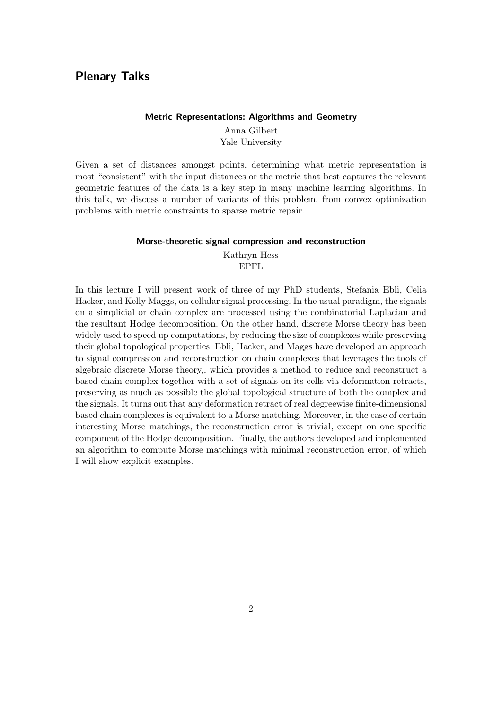### <span id="page-1-1"></span><span id="page-1-0"></span>Plenary Talks

### Metric Representations: Algorithms and Geometry

Anna Gilbert Yale University

Given a set of distances amongst points, determining what metric representation is most "consistent" with the input distances or the metric that best captures the relevant geometric features of the data is a key step in many machine learning algorithms. In this talk, we discuss a number of variants of this problem, from convex optimization problems with metric constraints to sparse metric repair.

### Morse-theoretic signal compression and reconstruction

Kathryn Hess EPFL

<span id="page-1-2"></span>In this lecture I will present work of three of my PhD students, Stefania Ebli, Celia Hacker, and Kelly Maggs, on cellular signal processing. In the usual paradigm, the signals on a simplicial or chain complex are processed using the combinatorial Laplacian and the resultant Hodge decomposition. On the other hand, discrete Morse theory has been widely used to speed up computations, by reducing the size of complexes while preserving their global topological properties. Ebli, Hacker, and Maggs have developed an approach to signal compression and reconstruction on chain complexes that leverages the tools of algebraic discrete Morse theory,, which provides a method to reduce and reconstruct a based chain complex together with a set of signals on its cells via deformation retracts, preserving as much as possible the global topological structure of both the complex and the signals. It turns out that any deformation retract of real degreewise finite-dimensional based chain complexes is equivalent to a Morse matching. Moreover, in the case of certain interesting Morse matchings, the reconstruction error is trivial, except on one specific component of the Hodge decomposition. Finally, the authors developed and implemented an algorithm to compute Morse matchings with minimal reconstruction error, of which I will show explicit examples.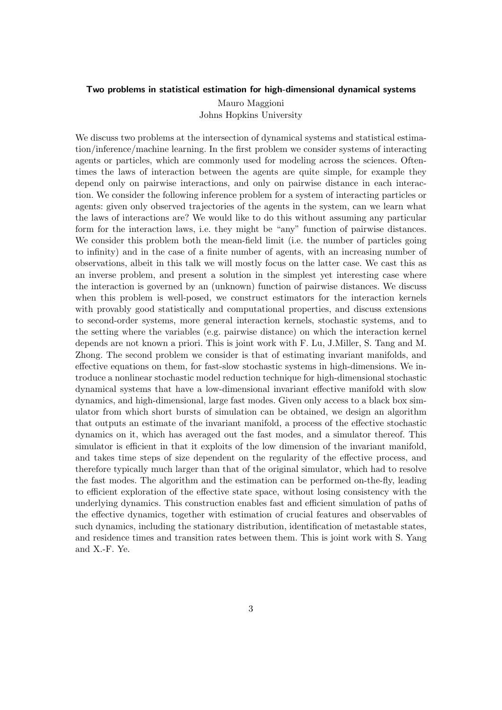### <span id="page-2-0"></span>Two problems in statistical estimation for high-dimensional dynamical systems

Mauro Maggioni Johns Hopkins University

We discuss two problems at the intersection of dynamical systems and statistical estimation/inference/machine learning. In the first problem we consider systems of interacting agents or particles, which are commonly used for modeling across the sciences. Oftentimes the laws of interaction between the agents are quite simple, for example they depend only on pairwise interactions, and only on pairwise distance in each interaction. We consider the following inference problem for a system of interacting particles or agents: given only observed trajectories of the agents in the system, can we learn what the laws of interactions are? We would like to do this without assuming any particular form for the interaction laws, i.e. they might be "any" function of pairwise distances. We consider this problem both the mean-field limit (i.e. the number of particles going to infinity) and in the case of a finite number of agents, with an increasing number of observations, albeit in this talk we will mostly focus on the latter case. We cast this as an inverse problem, and present a solution in the simplest yet interesting case where the interaction is governed by an (unknown) function of pairwise distances. We discuss when this problem is well-posed, we construct estimators for the interaction kernels with provably good statistically and computational properties, and discuss extensions to second-order systems, more general interaction kernels, stochastic systems, and to the setting where the variables (e.g. pairwise distance) on which the interaction kernel depends are not known a priori. This is joint work with F. Lu, J.Miller, S. Tang and M. Zhong. The second problem we consider is that of estimating invariant manifolds, and effective equations on them, for fast-slow stochastic systems in high-dimensions. We introduce a nonlinear stochastic model reduction technique for high-dimensional stochastic dynamical systems that have a low-dimensional invariant effective manifold with slow dynamics, and high-dimensional, large fast modes. Given only access to a black box simulator from which short bursts of simulation can be obtained, we design an algorithm that outputs an estimate of the invariant manifold, a process of the effective stochastic dynamics on it, which has averaged out the fast modes, and a simulator thereof. This simulator is efficient in that it exploits of the low dimension of the invariant manifold, and takes time steps of size dependent on the regularity of the effective process, and therefore typically much larger than that of the original simulator, which had to resolve the fast modes. The algorithm and the estimation can be performed on-the-fly, leading to efficient exploration of the effective state space, without losing consistency with the underlying dynamics. This construction enables fast and efficient simulation of paths of the effective dynamics, together with estimation of crucial features and observables of such dynamics, including the stationary distribution, identification of metastable states, and residence times and transition rates between them. This is joint work with S. Yang and X.-F. Ye.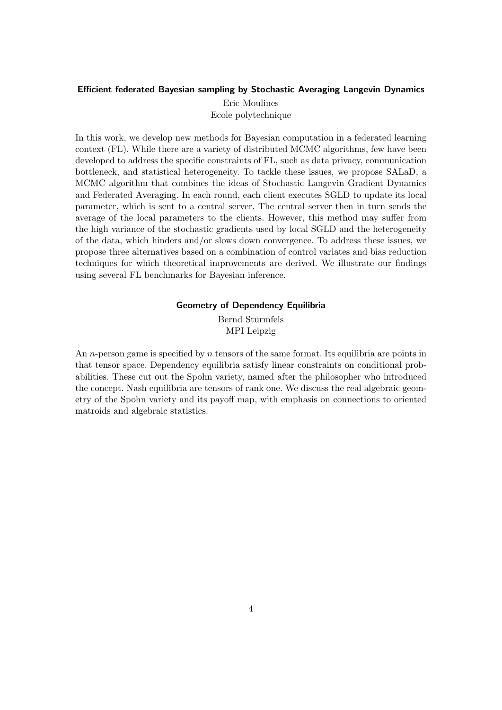### <span id="page-3-0"></span>Efficient federated Bayesian sampling by Stochastic Averaging Langevin Dynamics

Eric Moulines Ecole polytechnique

In this work, we develop new methods for Bayesian computation in a federated learning context (FL). While there are a variety of distributed MCMC algorithms, few have been developed to address the specific constraints of FL, such as data privacy, communication bottleneck, and statistical heterogeneity. To tackle these issues, we propose SALaD, a MCMC algorithm that combines the ideas of Stochastic Langevin Gradient Dynamics and Federated Averaging. In each round, each client executes SGLD to update its local parameter, which is sent to a central server. The central server then in turn sends the average of the local parameters to the clients. However, this method may suffer from the high variance of the stochastic gradients used by local SGLD and the heterogeneity of the data, which hinders and/or slows down convergence. To address these issues, we propose three alternatives based on a combination of control variates and bias reduction techniques for which theoretical improvements are derived. We illustrate our findings using several FL benchmarks for Bayesian inference.

### Geometry of Dependency Equilibria

Bernd Sturmfels MPI Leipzig

<span id="page-3-1"></span>An *n*-person game is specified by *n* tensors of the same format. Its equilibria are points in that tensor space. Dependency equilibria satisfy linear constraints on conditional probabilities. These cut out the Spohn variety, named after the philosopher who introduced the concept. Nash equilibria are tensors of rank one. We discuss the real algebraic geometry of the Spohn variety and its payoff map, with emphasis on connections to oriented matroids and algebraic statistics.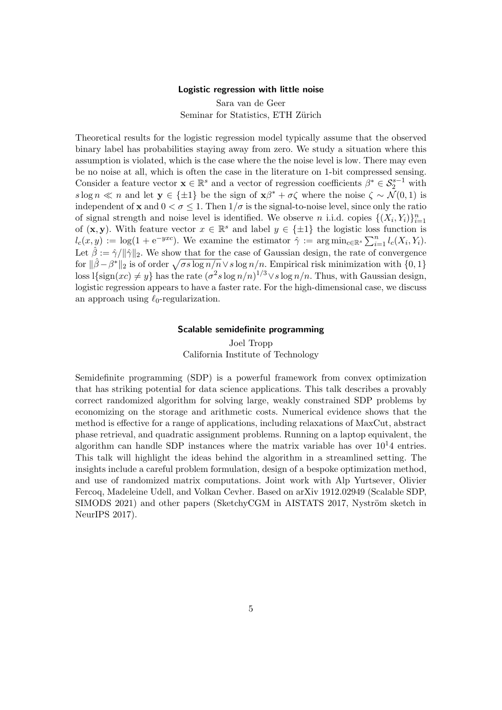#### Logistic regression with little noise

Sara van de Geer Seminar for Statistics, ETH Zürich

<span id="page-4-0"></span>Theoretical results for the logistic regression model typically assume that the observed binary label has probabilities staying away from zero. We study a situation where this assumption is violated, which is the case where the the noise level is low. There may even be no noise at all, which is often the case in the literature on 1-bit compressed sensing. Consider a feature vector  $\mathbf{x} \in \mathbb{R}^s$  and a vector of regression coefficients  $\beta^* \in S_2^{s-1}$  with s log n  $\ll n$  and let  $y \in {\pm 1}$  be the sign of  $x\beta^* + \sigma \zeta$  where the noise  $\zeta \sim \mathcal{N}(0, 1)$  is independent of **x** and  $0 < \sigma \leq 1$ . Then  $1/\sigma$  is the signal-to-noise level, since only the ratio of signal strength and noise level is identified. We observe *n* i.i.d. copies  $\{(X_i, Y_i)\}_{i=1}^n$ of  $(x, y)$ . With feature vector  $x \in \mathbb{R}^s$  and label  $y \in \{\pm 1\}$  the logistic loss function is  $l_c(x, y) := \log(1 + e^{-yxc})$ . We examine the estimator  $\hat{\gamma} := \arg \min_{c \in \mathbb{R}^s} \sum_{i=1}^n l_c(X_i, Y_i)$ . Let  $\hat{\beta} := \hat{\gamma}/\|\hat{\gamma}\|_2$ . We show that for the case of Gaussian design, the rate of convergence for  $\|\hat{\beta}-\beta^*\|_2$  is of order  $\sqrt{\sigma s \log n/n} \vee s \log n/n$ . Empirical risk minimization with  $\{0, 1\}$ loss l $\{\text{sign}(xc) \neq y\}$  has the rate  $(\sigma^2 s \log n/n)^{1/3} \vee s \log n/n$ . Thus, with Gaussian design, logistic regression appears to have a faster rate. For the high-dimensional case, we discuss an approach using  $\ell_0$ -regularization.

### Scalable semidefinite programming

Joel Tropp California Institute of Technology

<span id="page-4-1"></span>Semidefinite programming (SDP) is a powerful framework from convex optimization that has striking potential for data science applications. This talk describes a provably correct randomized algorithm for solving large, weakly constrained SDP problems by economizing on the storage and arithmetic costs. Numerical evidence shows that the method is effective for a range of applications, including relaxations of MaxCut, abstract phase retrieval, and quadratic assignment problems. Running on a laptop equivalent, the algorithm can handle SDP instances where the matrix variable has over  $10<sup>1</sup>4$  entries. This talk will highlight the ideas behind the algorithm in a streamlined setting. The insights include a careful problem formulation, design of a bespoke optimization method, and use of randomized matrix computations. Joint work with Alp Yurtsever, Olivier Fercoq, Madeleine Udell, and Volkan Cevher. Based on arXiv 1912.02949 (Scalable SDP, SIMODS 2021) and other papers (SketchyCGM in AISTATS 2017, Nyström sketch in NeurIPS 2017).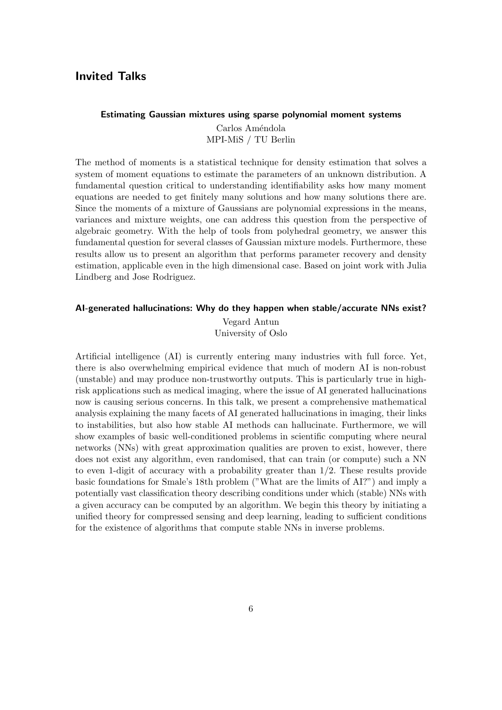### <span id="page-5-0"></span>Invited Talks

### <span id="page-5-1"></span>Estimating Gaussian mixtures using sparse polynomial moment systems

Carlos Améndola MPI-MiS / TU Berlin

The method of moments is a statistical technique for density estimation that solves a system of moment equations to estimate the parameters of an unknown distribution. A fundamental question critical to understanding identifiability asks how many moment equations are needed to get finitely many solutions and how many solutions there are. Since the moments of a mixture of Gaussians are polynomial expressions in the means, variances and mixture weights, one can address this question from the perspective of algebraic geometry. With the help of tools from polyhedral geometry, we answer this fundamental question for several classes of Gaussian mixture models. Furthermore, these results allow us to present an algorithm that performs parameter recovery and density estimation, applicable even in the high dimensional case. Based on joint work with Julia Lindberg and Jose Rodriguez.

### <span id="page-5-2"></span>AI-generated hallucinations: Why do they happen when stable/accurate NNs exist?

Vegard Antun University of Oslo

Artificial intelligence (AI) is currently entering many industries with full force. Yet, there is also overwhelming empirical evidence that much of modern AI is non-robust (unstable) and may produce non-trustworthy outputs. This is particularly true in highrisk applications such as medical imaging, where the issue of AI generated hallucinations now is causing serious concerns. In this talk, we present a comprehensive mathematical analysis explaining the many facets of AI generated hallucinations in imaging, their links to instabilities, but also how stable AI methods can hallucinate. Furthermore, we will show examples of basic well-conditioned problems in scientific computing where neural networks (NNs) with great approximation qualities are proven to exist, however, there does not exist any algorithm, even randomised, that can train (or compute) such a NN to even 1-digit of accuracy with a probability greater than 1/2. These results provide basic foundations for Smale's 18th problem ("What are the limits of AI?") and imply a potentially vast classification theory describing conditions under which (stable) NNs with a given accuracy can be computed by an algorithm. We begin this theory by initiating a unified theory for compressed sensing and deep learning, leading to sufficient conditions for the existence of algorithms that compute stable NNs in inverse problems.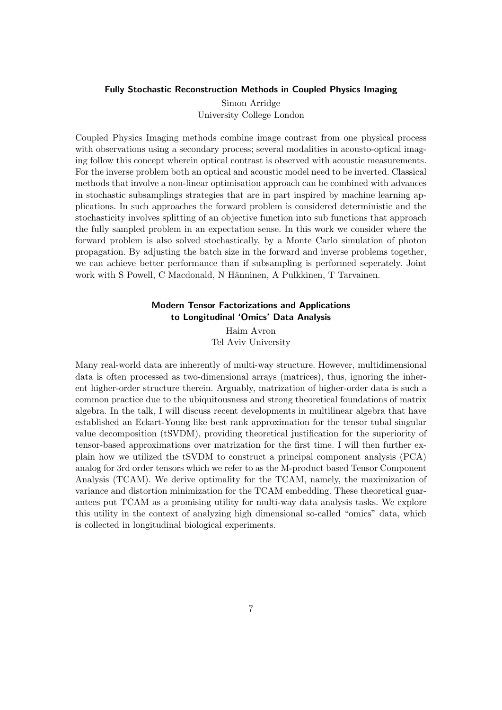#### <span id="page-6-0"></span>Fully Stochastic Reconstruction Methods in Coupled Physics Imaging

Simon Arridge University College London

Coupled Physics Imaging methods combine image contrast from one physical process with observations using a secondary process; several modalities in acousto-optical imaging follow this concept wherein optical contrast is observed with acoustic measurements. For the inverse problem both an optical and acoustic model need to be inverted. Classical methods that involve a non-linear optimisation approach can be combined with advances in stochastic subsamplings strategies that are in part inspired by machine learning applications. In such approaches the forward problem is considered deterministic and the stochasticity involves splitting of an objective function into sub functions that approach the fully sampled problem in an expectation sense. In this work we consider where the forward problem is also solved stochastically, by a Monte Carlo simulation of photon propagation. By adjusting the batch size in the forward and inverse problems together, we can achieve better performance than if subsampling is performed seperately. Joint work with S Powell, C Macdonald, N Hänninen, A Pulkkinen, T Tarvainen.

### Modern Tensor Factorizations and Applications to Longitudinal 'Omics' Data Analysis

Haim Avron Tel Aviv University

<span id="page-6-1"></span>Many real-world data are inherently of multi-way structure. However, multidimensional data is often processed as two-dimensional arrays (matrices), thus, ignoring the inherent higher-order structure therein. Arguably, matrization of higher-order data is such a common practice due to the ubiquitousness and strong theoretical foundations of matrix algebra. In the talk, I will discuss recent developments in multilinear algebra that have established an Eckart-Young like best rank approximation for the tensor tubal singular value decomposition (tSVDM), providing theoretical justification for the superiority of tensor-based approximations over matrization for the first time. I will then further explain how we utilized the tSVDM to construct a principal component analysis (PCA) analog for 3rd order tensors which we refer to as the M-product based Tensor Component Analysis (TCAM). We derive optimality for the TCAM, namely, the maximization of variance and distortion minimization for the TCAM embedding. These theoretical guarantees put TCAM as a promising utility for multi-way data analysis tasks. We explore this utility in the context of analyzing high dimensional so-called "omics" data, which is collected in longitudinal biological experiments.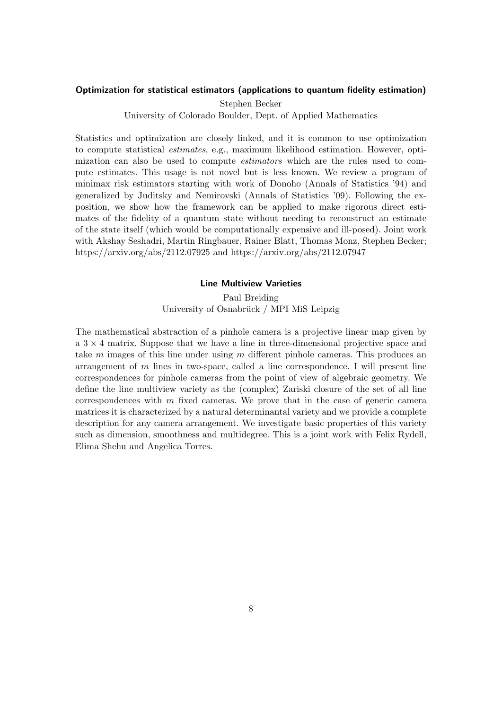### <span id="page-7-0"></span>Optimization for statistical estimators (applications to quantum fidelity estimation)

Stephen Becker

University of Colorado Boulder, Dept. of Applied Mathematics

Statistics and optimization are closely linked, and it is common to use optimization to compute statistical estimates, e.g., maximum likelihood estimation. However, optimization can also be used to compute estimators which are the rules used to compute estimates. This usage is not novel but is less known. We review a program of minimax risk estimators starting with work of Donoho (Annals of Statistics '94) and generalized by Juditsky and Nemirovski (Annals of Statistics '09). Following the exposition, we show how the framework can be applied to make rigorous direct estimates of the fidelity of a quantum state without needing to reconstruct an estimate of the state itself (which would be computationally expensive and ill-posed). Joint work with Akshay Seshadri, Martin Ringbauer, Rainer Blatt, Thomas Monz, Stephen Becker; https://arxiv.org/abs/2112.07925 and https://arxiv.org/abs/2112.07947

### Line Multiview Varieties

### Paul Breiding University of Osnabrück / MPI MiS Leipzig

<span id="page-7-1"></span>The mathematical abstraction of a pinhole camera is a projective linear map given by  $a \cdot 3 \times 4$  matrix. Suppose that we have a line in three-dimensional projective space and take  $m$  images of this line under using  $m$  different pinhole cameras. This produces an arrangement of  $m$  lines in two-space, called a line correspondence. I will present line correspondences for pinhole cameras from the point of view of algebraic geometry. We define the line multiview variety as the (complex) Zariski closure of the set of all line correspondences with  $m$  fixed cameras. We prove that in the case of generic camera matrices it is characterized by a natural determinantal variety and we provide a complete description for any camera arrangement. We investigate basic properties of this variety such as dimension, smoothness and multidegree. This is a joint work with Felix Rydell, Elima Shehu and Angelica Torres.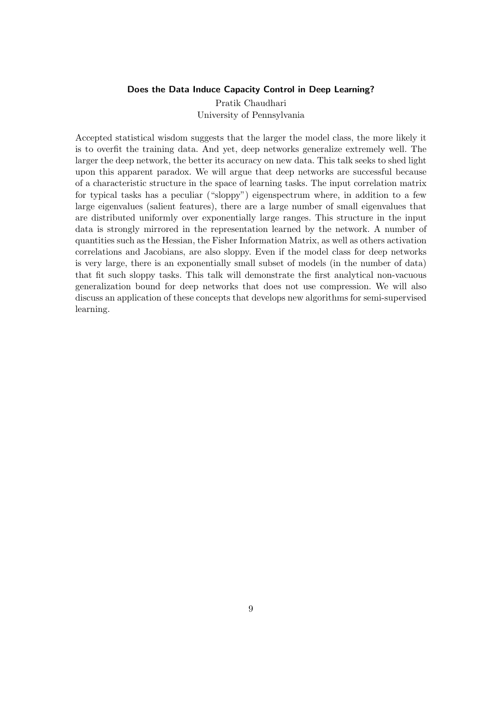### Does the Data Induce Capacity Control in Deep Learning?

Pratik Chaudhari University of Pennsylvania

<span id="page-8-0"></span>Accepted statistical wisdom suggests that the larger the model class, the more likely it is to overfit the training data. And yet, deep networks generalize extremely well. The larger the deep network, the better its accuracy on new data. This talk seeks to shed light upon this apparent paradox. We will argue that deep networks are successful because of a characteristic structure in the space of learning tasks. The input correlation matrix for typical tasks has a peculiar ("sloppy") eigenspectrum where, in addition to a few large eigenvalues (salient features), there are a large number of small eigenvalues that are distributed uniformly over exponentially large ranges. This structure in the input data is strongly mirrored in the representation learned by the network. A number of quantities such as the Hessian, the Fisher Information Matrix, as well as others activation correlations and Jacobians, are also sloppy. Even if the model class for deep networks is very large, there is an exponentially small subset of models (in the number of data) that fit such sloppy tasks. This talk will demonstrate the first analytical non-vacuous generalization bound for deep networks that does not use compression. We will also discuss an application of these concepts that develops new algorithms for semi-supervised learning.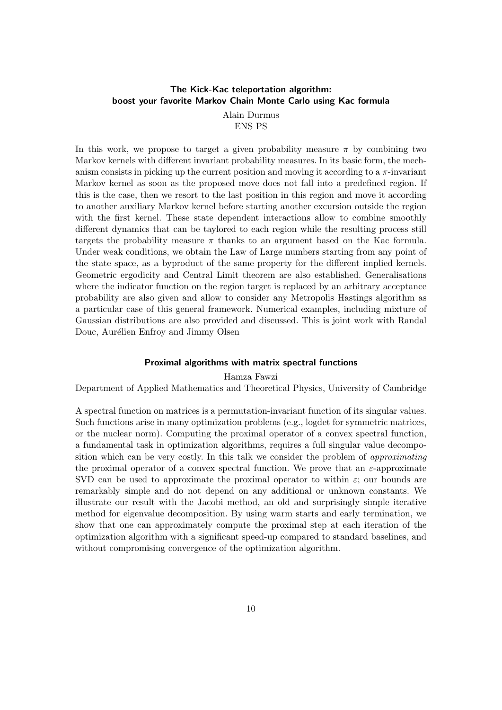### <span id="page-9-0"></span>The Kick-Kac teleportation algorithm: boost your favorite Markov Chain Monte Carlo using Kac formula

Alain Durmus ENS PS

In this work, we propose to target a given probability measure  $\pi$  by combining two Markov kernels with different invariant probability measures. In its basic form, the mechanism consists in picking up the current position and moving it according to a  $\pi$ -invariant Markov kernel as soon as the proposed move does not fall into a predefined region. If this is the case, then we resort to the last position in this region and move it according to another auxiliary Markov kernel before starting another excursion outside the region with the first kernel. These state dependent interactions allow to combine smoothly different dynamics that can be taylored to each region while the resulting process still targets the probability measure  $\pi$  thanks to an argument based on the Kac formula. Under weak conditions, we obtain the Law of Large numbers starting from any point of the state space, as a byproduct of the same property for the different implied kernels. Geometric ergodicity and Central Limit theorem are also established. Generalisations where the indicator function on the region target is replaced by an arbitrary acceptance probability are also given and allow to consider any Metropolis Hastings algorithm as a particular case of this general framework. Numerical examples, including mixture of Gaussian distributions are also provided and discussed. This is joint work with Randal Douc, Aurélien Enfroy and Jimmy Olsen

### Proximal algorithms with matrix spectral functions

### Hamza Fawzi

<span id="page-9-1"></span>Department of Applied Mathematics and Theoretical Physics, University of Cambridge

A spectral function on matrices is a permutation-invariant function of its singular values. Such functions arise in many optimization problems (e.g., logdet for symmetric matrices, or the nuclear norm). Computing the proximal operator of a convex spectral function, a fundamental task in optimization algorithms, requires a full singular value decomposition which can be very costly. In this talk we consider the problem of approximating the proximal operator of a convex spectral function. We prove that an  $\varepsilon$ -approximate SVD can be used to approximate the proximal operator to within  $\varepsilon$ ; our bounds are remarkably simple and do not depend on any additional or unknown constants. We illustrate our result with the Jacobi method, an old and surprisingly simple iterative method for eigenvalue decomposition. By using warm starts and early termination, we show that one can approximately compute the proximal step at each iteration of the optimization algorithm with a significant speed-up compared to standard baselines, and without compromising convergence of the optimization algorithm.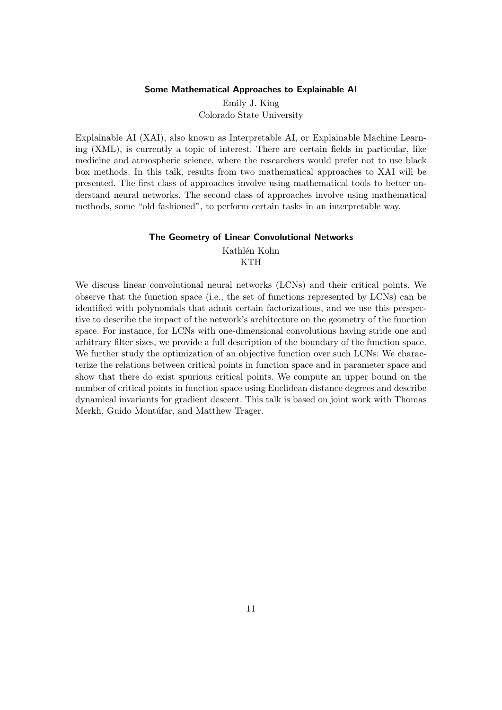### Some Mathematical Approaches to Explainable AI

Emily J. King Colorado State University

<span id="page-10-0"></span>Explainable AI (XAI), also known as Interpretable AI, or Explainable Machine Learning (XML), is currently a topic of interest. There are certain fields in particular, like medicine and atmospheric science, where the researchers would prefer not to use black box methods. In this talk, results from two mathematical approaches to XAI will be presented. The first class of approaches involve using mathematical tools to better understand neural networks. The second class of approaches involve using mathematical methods, some "old fashioned", to perform certain tasks in an interpretable way.

### The Geometry of Linear Convolutional Networks

Kathlén Kohn KTH

<span id="page-10-1"></span>We discuss linear convolutional neural networks (LCNs) and their critical points. We observe that the function space (i.e., the set of functions represented by LCNs) can be identified with polynomials that admit certain factorizations, and we use this perspective to describe the impact of the network's architecture on the geometry of the function space. For instance, for LCNs with one-dimensional convolutions having stride one and arbitrary filter sizes, we provide a full description of the boundary of the function space. We further study the optimization of an objective function over such LCNs: We characterize the relations between critical points in function space and in parameter space and show that there do exist spurious critical points. We compute an upper bound on the number of critical points in function space using Euclidean distance degrees and describe dynamical invariants for gradient descent. This talk is based on joint work with Thomas Merkh, Guido Montúfar, and Matthew Trager.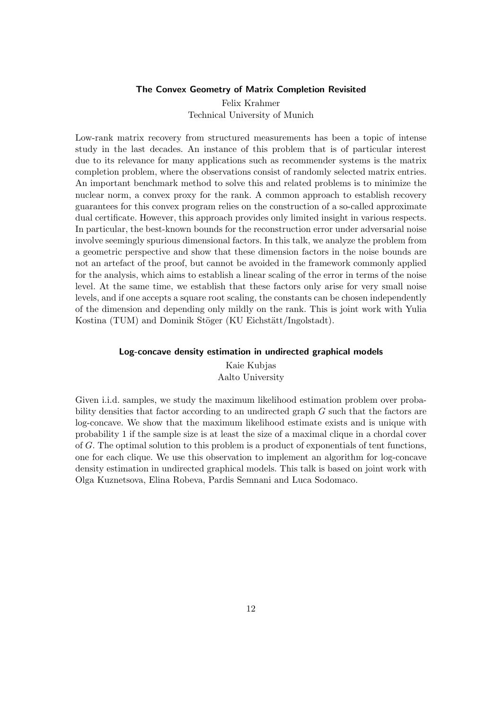#### The Convex Geometry of Matrix Completion Revisited

Felix Krahmer Technical University of Munich

<span id="page-11-0"></span>Low-rank matrix recovery from structured measurements has been a topic of intense study in the last decades. An instance of this problem that is of particular interest due to its relevance for many applications such as recommender systems is the matrix completion problem, where the observations consist of randomly selected matrix entries. An important benchmark method to solve this and related problems is to minimize the nuclear norm, a convex proxy for the rank. A common approach to establish recovery guarantees for this convex program relies on the construction of a so-called approximate dual certificate. However, this approach provides only limited insight in various respects. In particular, the best-known bounds for the reconstruction error under adversarial noise involve seemingly spurious dimensional factors. In this talk, we analyze the problem from a geometric perspective and show that these dimension factors in the noise bounds are not an artefact of the proof, but cannot be avoided in the framework commonly applied for the analysis, which aims to establish a linear scaling of the error in terms of the noise level. At the same time, we establish that these factors only arise for very small noise levels, and if one accepts a square root scaling, the constants can be chosen independently of the dimension and depending only mildly on the rank. This is joint work with Yulia Kostina (TUM) and Dominik Stöger (KU Eichstätt/Ingolstadt).

#### <span id="page-11-1"></span>Log-concave density estimation in undirected graphical models

Kaie Kubjas Aalto University

Given i.i.d. samples, we study the maximum likelihood estimation problem over probability densities that factor according to an undirected graph  $G$  such that the factors are log-concave. We show that the maximum likelihood estimate exists and is unique with probability 1 if the sample size is at least the size of a maximal clique in a chordal cover of G. The optimal solution to this problem is a product of exponentials of tent functions, one for each clique. We use this observation to implement an algorithm for log-concave density estimation in undirected graphical models. This talk is based on joint work with Olga Kuznetsova, Elina Robeva, Pardis Semnani and Luca Sodomaco.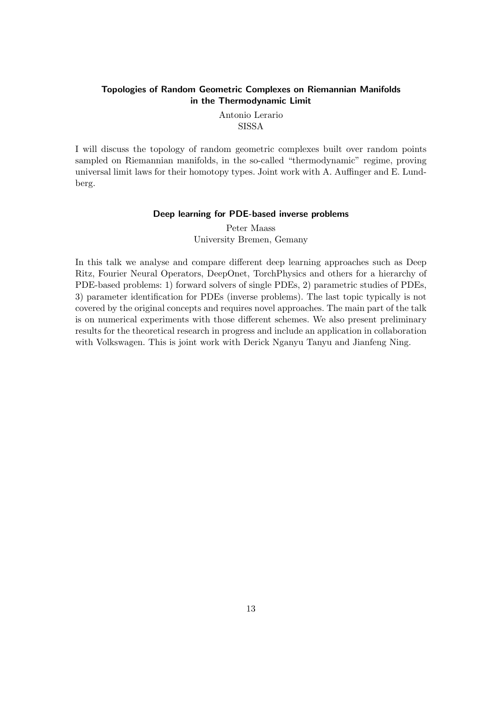### <span id="page-12-0"></span>Topologies of Random Geometric Complexes on Riemannian Manifolds in the Thermodynamic Limit

Antonio Lerario **SISSA** 

I will discuss the topology of random geometric complexes built over random points sampled on Riemannian manifolds, in the so-called "thermodynamic" regime, proving universal limit laws for their homotopy types. Joint work with A. Auffinger and E. Lundberg.

### Deep learning for PDE-based inverse problems

Peter Maass University Bremen, Gemany

<span id="page-12-1"></span>In this talk we analyse and compare different deep learning approaches such as Deep Ritz, Fourier Neural Operators, DeepOnet, TorchPhysics and others for a hierarchy of PDE-based problems: 1) forward solvers of single PDEs, 2) parametric studies of PDEs, 3) parameter identification for PDEs (inverse problems). The last topic typically is not covered by the original concepts and requires novel approaches. The main part of the talk is on numerical experiments with those different schemes. We also present preliminary results for the theoretical research in progress and include an application in collaboration with Volkswagen. This is joint work with Derick Nganyu Tanyu and Jianfeng Ning.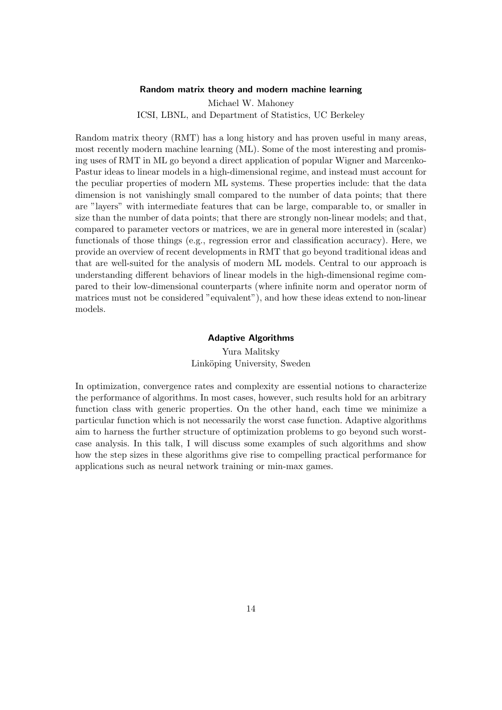#### Random matrix theory and modern machine learning

Michael W. Mahoney ICSI, LBNL, and Department of Statistics, UC Berkeley

<span id="page-13-0"></span>Random matrix theory (RMT) has a long history and has proven useful in many areas, most recently modern machine learning (ML). Some of the most interesting and promising uses of RMT in ML go beyond a direct application of popular Wigner and Marcenko-Pastur ideas to linear models in a high-dimensional regime, and instead must account for the peculiar properties of modern ML systems. These properties include: that the data dimension is not vanishingly small compared to the number of data points; that there are "layers" with intermediate features that can be large, comparable to, or smaller in size than the number of data points; that there are strongly non-linear models; and that, compared to parameter vectors or matrices, we are in general more interested in (scalar) functionals of those things (e.g., regression error and classification accuracy). Here, we provide an overview of recent developments in RMT that go beyond traditional ideas and that are well-suited for the analysis of modern ML models. Central to our approach is understanding different behaviors of linear models in the high-dimensional regime compared to their low-dimensional counterparts (where infinite norm and operator norm of matrices must not be considered "equivalent"), and how these ideas extend to non-linear models.

### Adaptive Algorithms

Yura Malitsky Linköping University, Sweden

<span id="page-13-1"></span>In optimization, convergence rates and complexity are essential notions to characterize the performance of algorithms. In most cases, however, such results hold for an arbitrary function class with generic properties. On the other hand, each time we minimize a particular function which is not necessarily the worst case function. Adaptive algorithms aim to harness the further structure of optimization problems to go beyond such worstcase analysis. In this talk, I will discuss some examples of such algorithms and show how the step sizes in these algorithms give rise to compelling practical performance for applications such as neural network training or min-max games.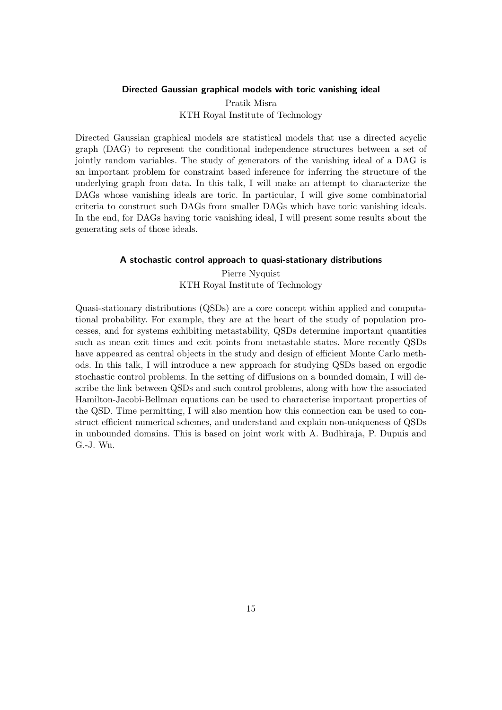### <span id="page-14-0"></span>Directed Gaussian graphical models with toric vanishing ideal

Pratik Misra KTH Royal Institute of Technology

Directed Gaussian graphical models are statistical models that use a directed acyclic graph (DAG) to represent the conditional independence structures between a set of jointly random variables. The study of generators of the vanishing ideal of a DAG is an important problem for constraint based inference for inferring the structure of the underlying graph from data. In this talk, I will make an attempt to characterize the DAGs whose vanishing ideals are toric. In particular, I will give some combinatorial criteria to construct such DAGs from smaller DAGs which have toric vanishing ideals. In the end, for DAGs having toric vanishing ideal, I will present some results about the generating sets of those ideals.

#### <span id="page-14-1"></span>A stochastic control approach to quasi-stationary distributions

Pierre Nyquist KTH Royal Institute of Technology

Quasi-stationary distributions (QSDs) are a core concept within applied and computational probability. For example, they are at the heart of the study of population processes, and for systems exhibiting metastability, QSDs determine important quantities such as mean exit times and exit points from metastable states. More recently QSDs have appeared as central objects in the study and design of efficient Monte Carlo methods. In this talk, I will introduce a new approach for studying QSDs based on ergodic stochastic control problems. In the setting of diffusions on a bounded domain, I will describe the link between QSDs and such control problems, along with how the associated Hamilton-Jacobi-Bellman equations can be used to characterise important properties of the QSD. Time permitting, I will also mention how this connection can be used to construct efficient numerical schemes, and understand and explain non-uniqueness of QSDs in unbounded domains. This is based on joint work with A. Budhiraja, P. Dupuis and G.-J. Wu.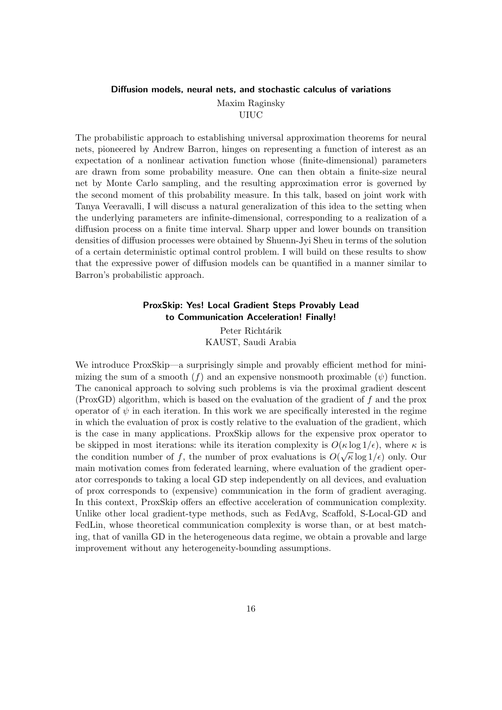### <span id="page-15-0"></span>Diffusion models, neural nets, and stochastic calculus of variations Maxim Raginsky

UIUC

The probabilistic approach to establishing universal approximation theorems for neural nets, pioneered by Andrew Barron, hinges on representing a function of interest as an expectation of a nonlinear activation function whose (finite-dimensional) parameters are drawn from some probability measure. One can then obtain a finite-size neural net by Monte Carlo sampling, and the resulting approximation error is governed by the second moment of this probability measure. In this talk, based on joint work with Tanya Veeravalli, I will discuss a natural generalization of this idea to the setting when the underlying parameters are infinite-dimensional, corresponding to a realization of a diffusion process on a finite time interval. Sharp upper and lower bounds on transition densities of diffusion processes were obtained by Shuenn-Jyi Sheu in terms of the solution of a certain deterministic optimal control problem. I will build on these results to show that the expressive power of diffusion models can be quantified in a manner similar to Barron's probabilistic approach.

### ProxSkip: Yes! Local Gradient Steps Provably Lead to Communication Acceleration! Finally!

Peter Richtárik KAUST, Saudi Arabia

<span id="page-15-1"></span>We introduce ProxSkip—a surprisingly simple and provably efficient method for minimizing the sum of a smooth (f) and an expensive nonsmooth proximable  $(\psi)$  function. The canonical approach to solving such problems is via the proximal gradient descent (ProxGD) algorithm, which is based on the evaluation of the gradient of f and the prox operator of  $\psi$  in each iteration. In this work we are specifically interested in the regime in which the evaluation of prox is costly relative to the evaluation of the gradient, which is the case in many applications. ProxSkip allows for the expensive prox operator to be skipped in most iterations: while its iteration complexity is  $O(\kappa \log 1/\epsilon)$ , where  $\kappa$  is the condition number of f, the number of prox evaluations is  $O(\sqrt{\kappa} \log 1/\epsilon)$  only. Our main motivation comes from federated learning, where evaluation of the gradient operator corresponds to taking a local GD step independently on all devices, and evaluation of prox corresponds to (expensive) communication in the form of gradient averaging. In this context, ProxSkip offers an effective acceleration of communication complexity. Unlike other local gradient-type methods, such as FedAvg, Scaffold, S-Local-GD and FedLin, whose theoretical communication complexity is worse than, or at best matching, that of vanilla GD in the heterogeneous data regime, we obtain a provable and large improvement without any heterogeneity-bounding assumptions.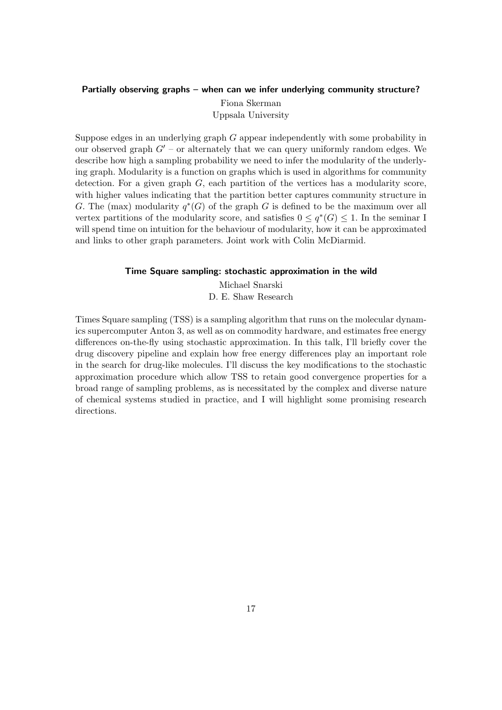### <span id="page-16-0"></span>Partially observing graphs – when can we infer underlying community structure?

Fiona Skerman Uppsala University

Suppose edges in an underlying graph  $G$  appear independently with some probability in our observed graph  $G'$  – or alternately that we can query uniformly random edges. We describe how high a sampling probability we need to infer the modularity of the underlying graph. Modularity is a function on graphs which is used in algorithms for community detection. For a given graph  $G$ , each partition of the vertices has a modularity score, with higher values indicating that the partition better captures community structure in G. The (max) modularity  $q^*(G)$  of the graph G is defined to be the maximum over all vertex partitions of the modularity score, and satisfies  $0 \leq q^*(G) \leq 1$ . In the seminar I will spend time on intuition for the behaviour of modularity, how it can be approximated and links to other graph parameters. Joint work with Colin McDiarmid.

### Time Square sampling: stochastic approximation in the wild

Michael Snarski D. E. Shaw Research

<span id="page-16-1"></span>Times Square sampling (TSS) is a sampling algorithm that runs on the molecular dynamics supercomputer Anton 3, as well as on commodity hardware, and estimates free energy differences on-the-fly using stochastic approximation. In this talk, I'll briefly cover the drug discovery pipeline and explain how free energy differences play an important role in the search for drug-like molecules. I'll discuss the key modifications to the stochastic approximation procedure which allow TSS to retain good convergence properties for a broad range of sampling problems, as is necessitated by the complex and diverse nature of chemical systems studied in practice, and I will highlight some promising research directions.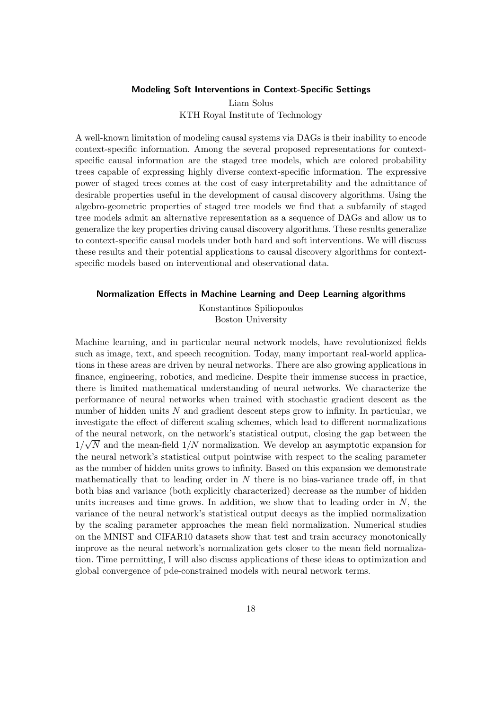### Modeling Soft Interventions in Context-Specific Settings

Liam Solus KTH Royal Institute of Technology

<span id="page-17-0"></span>A well-known limitation of modeling causal systems via DAGs is their inability to encode context-specific information. Among the several proposed representations for contextspecific causal information are the staged tree models, which are colored probability trees capable of expressing highly diverse context-specific information. The expressive power of staged trees comes at the cost of easy interpretability and the admittance of desirable properties useful in the development of causal discovery algorithms. Using the algebro-geometric properties of staged tree models we find that a subfamily of staged tree models admit an alternative representation as a sequence of DAGs and allow us to generalize the key properties driving causal discovery algorithms. These results generalize to context-specific causal models under both hard and soft interventions. We will discuss these results and their potential applications to causal discovery algorithms for contextspecific models based on interventional and observational data.

### <span id="page-17-1"></span>Normalization Effects in Machine Learning and Deep Learning algorithms

Konstantinos Spiliopoulos Boston University

Machine learning, and in particular neural network models, have revolutionized fields such as image, text, and speech recognition. Today, many important real-world applications in these areas are driven by neural networks. There are also growing applications in finance, engineering, robotics, and medicine. Despite their immense success in practice, there is limited mathematical understanding of neural networks. We characterize the performance of neural networks when trained with stochastic gradient descent as the number of hidden units N and gradient descent steps grow to infinity. In particular, we investigate the effect of different scaling schemes, which lead to different normalizations of the neural network, on the network's statistical output, closing the gap between the √  $1/\sqrt{N}$  and the mean-field  $1/N$  normalization. We develop an asymptotic expansion for the neural network's statistical output pointwise with respect to the scaling parameter as the number of hidden units grows to infinity. Based on this expansion we demonstrate mathematically that to leading order in  $N$  there is no bias-variance trade off, in that both bias and variance (both explicitly characterized) decrease as the number of hidden units increases and time grows. In addition, we show that to leading order in  $N$ , the variance of the neural network's statistical output decays as the implied normalization by the scaling parameter approaches the mean field normalization. Numerical studies on the MNIST and CIFAR10 datasets show that test and train accuracy monotonically improve as the neural network's normalization gets closer to the mean field normalization. Time permitting, I will also discuss applications of these ideas to optimization and global convergence of pde-constrained models with neural network terms.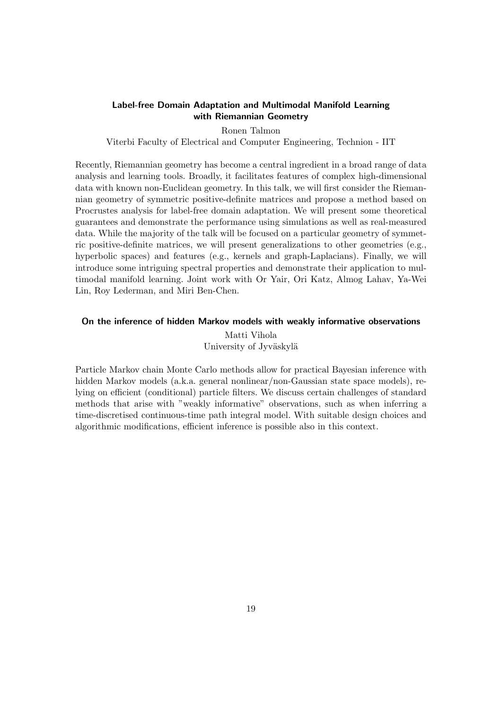### <span id="page-18-0"></span>Label-free Domain Adaptation and Multimodal Manifold Learning with Riemannian Geometry

Ronen Talmon

Viterbi Faculty of Electrical and Computer Engineering, Technion - IIT

Recently, Riemannian geometry has become a central ingredient in a broad range of data analysis and learning tools. Broadly, it facilitates features of complex high-dimensional data with known non-Euclidean geometry. In this talk, we will first consider the Riemannian geometry of symmetric positive-definite matrices and propose a method based on Procrustes analysis for label-free domain adaptation. We will present some theoretical guarantees and demonstrate the performance using simulations as well as real-measured data. While the majority of the talk will be focused on a particular geometry of symmetric positive-definite matrices, we will present generalizations to other geometries (e.g., hyperbolic spaces) and features (e.g., kernels and graph-Laplacians). Finally, we will introduce some intriguing spectral properties and demonstrate their application to multimodal manifold learning. Joint work with Or Yair, Ori Katz, Almog Lahav, Ya-Wei Lin, Roy Lederman, and Miri Ben-Chen.

### <span id="page-18-1"></span>On the inference of hidden Markov models with weakly informative observations

Matti Vihola University of Jyväskylä

Particle Markov chain Monte Carlo methods allow for practical Bayesian inference with hidden Markov models (a.k.a. general nonlinear/non-Gaussian state space models), relying on efficient (conditional) particle filters. We discuss certain challenges of standard methods that arise with "weakly informative" observations, such as when inferring a time-discretised continuous-time path integral model. With suitable design choices and algorithmic modifications, efficient inference is possible also in this context.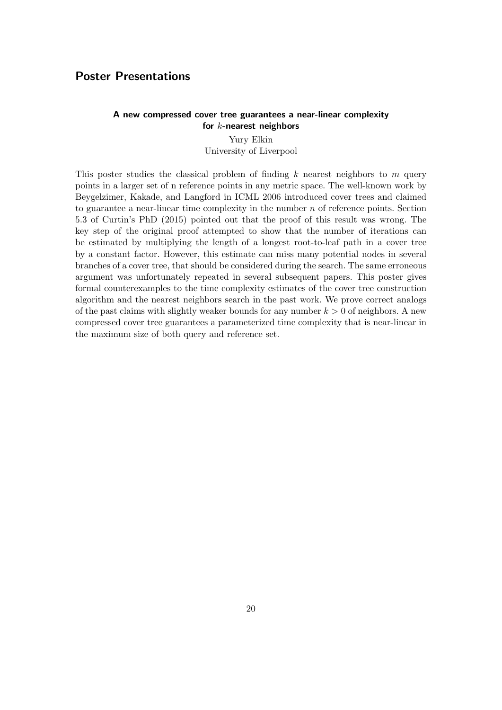### <span id="page-19-0"></span>Poster Presentations

### <span id="page-19-1"></span>A new compressed cover tree guarantees a near-linear complexity for  $k$ -nearest neighbors

Yury Elkin University of Liverpool

This poster studies the classical problem of finding  $k$  nearest neighbors to  $m$  query points in a larger set of n reference points in any metric space. The well-known work by Beygelzimer, Kakade, and Langford in ICML 2006 introduced cover trees and claimed to guarantee a near-linear time complexity in the number  $n$  of reference points. Section 5.3 of Curtin's PhD (2015) pointed out that the proof of this result was wrong. The key step of the original proof attempted to show that the number of iterations can be estimated by multiplying the length of a longest root-to-leaf path in a cover tree by a constant factor. However, this estimate can miss many potential nodes in several branches of a cover tree, that should be considered during the search. The same erroneous argument was unfortunately repeated in several subsequent papers. This poster gives formal counterexamples to the time complexity estimates of the cover tree construction algorithm and the nearest neighbors search in the past work. We prove correct analogs of the past claims with slightly weaker bounds for any number  $k > 0$  of neighbors. A new compressed cover tree guarantees a parameterized time complexity that is near-linear in the maximum size of both query and reference set.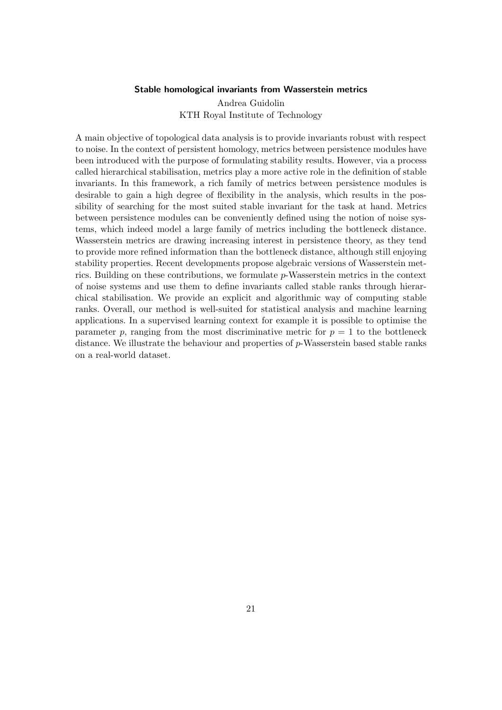#### Stable homological invariants from Wasserstein metrics

Andrea Guidolin KTH Royal Institute of Technology

<span id="page-20-0"></span>A main objective of topological data analysis is to provide invariants robust with respect to noise. In the context of persistent homology, metrics between persistence modules have been introduced with the purpose of formulating stability results. However, via a process called hierarchical stabilisation, metrics play a more active role in the definition of stable invariants. In this framework, a rich family of metrics between persistence modules is desirable to gain a high degree of flexibility in the analysis, which results in the possibility of searching for the most suited stable invariant for the task at hand. Metrics between persistence modules can be conveniently defined using the notion of noise systems, which indeed model a large family of metrics including the bottleneck distance. Wasserstein metrics are drawing increasing interest in persistence theory, as they tend to provide more refined information than the bottleneck distance, although still enjoying stability properties. Recent developments propose algebraic versions of Wasserstein metrics. Building on these contributions, we formulate p-Wasserstein metrics in the context of noise systems and use them to define invariants called stable ranks through hierarchical stabilisation. We provide an explicit and algorithmic way of computing stable ranks. Overall, our method is well-suited for statistical analysis and machine learning applications. In a supervised learning context for example it is possible to optimise the parameter p, ranging from the most discriminative metric for  $p = 1$  to the bottleneck distance. We illustrate the behaviour and properties of p-Wasserstein based stable ranks on a real-world dataset.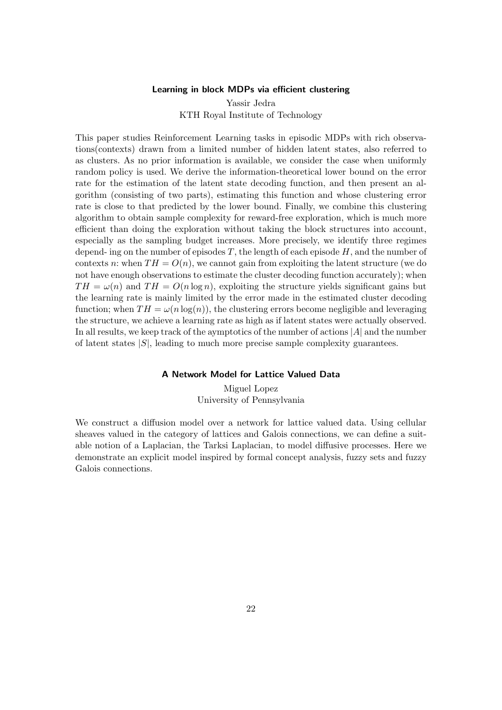### Learning in block MDPs via efficient clustering

Yassir Jedra KTH Royal Institute of Technology

<span id="page-21-0"></span>This paper studies Reinforcement Learning tasks in episodic MDPs with rich observations(contexts) drawn from a limited number of hidden latent states, also referred to as clusters. As no prior information is available, we consider the case when uniformly random policy is used. We derive the information-theoretical lower bound on the error rate for the estimation of the latent state decoding function, and then present an algorithm (consisting of two parts), estimating this function and whose clustering error rate is close to that predicted by the lower bound. Finally, we combine this clustering algorithm to obtain sample complexity for reward-free exploration, which is much more efficient than doing the exploration without taking the block structures into account, especially as the sampling budget increases. More precisely, we identify three regimes depend- ing on the number of episodes  $T$ , the length of each episode  $H$ , and the number of contexts n: when  $TH = O(n)$ , we cannot gain from exploiting the latent structure (we do not have enough observations to estimate the cluster decoding function accurately); when  $TH = \omega(n)$  and  $TH = O(n \log n)$ , exploiting the structure yields significant gains but the learning rate is mainly limited by the error made in the estimated cluster decoding function; when  $TH = \omega(n \log(n))$ , the clustering errors become negligible and leveraging the structure, we achieve a learning rate as high as if latent states were actually observed. In all results, we keep track of the aymptotics of the number of actions |A| and the number of latent states  $|S|$ , leading to much more precise sample complexity guarantees.

#### A Network Model for Lattice Valued Data

Miguel Lopez University of Pennsylvania

<span id="page-21-1"></span>We construct a diffusion model over a network for lattice valued data. Using cellular sheaves valued in the category of lattices and Galois connections, we can define a suitable notion of a Laplacian, the Tarksi Laplacian, to model diffusive processes. Here we demonstrate an explicit model inspired by formal concept analysis, fuzzy sets and fuzzy Galois connections.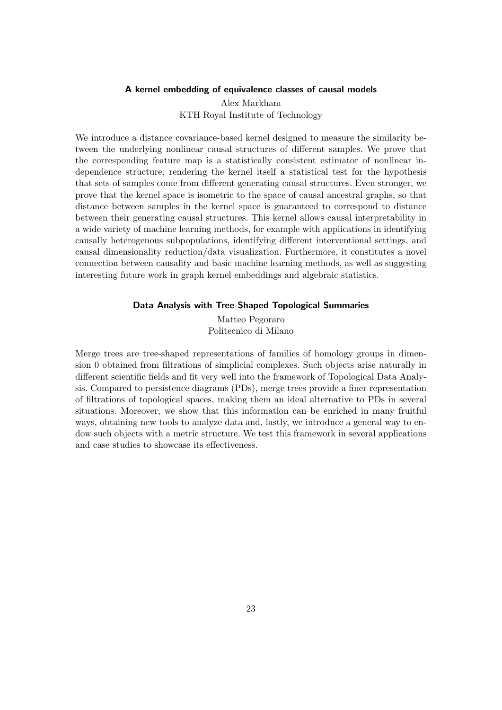### A kernel embedding of equivalence classes of causal models

Alex Markham KTH Royal Institute of Technology

<span id="page-22-0"></span>We introduce a distance covariance-based kernel designed to measure the similarity between the underlying nonlinear causal structures of different samples. We prove that the corresponding feature map is a statistically consistent estimator of nonlinear independence structure, rendering the kernel itself a statistical test for the hypothesis that sets of samples come from different generating causal structures. Even stronger, we prove that the kernel space is isometric to the space of causal ancestral graphs, so that distance between samples in the kernel space is guaranteed to correspond to distance between their generating causal structures. This kernel allows causal interpretability in a wide variety of machine learning methods, for example with applications in identifying causally heterogenous subpopulations, identifying different interventional settings, and causal dimensionality reduction/data visualization. Furthermore, it constitutes a novel connection between causality and basic machine learning methods, as well as suggesting interesting future work in graph kernel embeddings and algebraic statistics.

### Data Analysis with Tree-Shaped Topological Summaries

Matteo Pegoraro Politecnico di Milano

<span id="page-22-1"></span>Merge trees are tree-shaped representations of families of homology groups in dimension 0 obtained from filtrations of simplicial complexes. Such objects arise naturally in different scientific fields and fit very well into the framework of Topological Data Analysis. Compared to persistence diagrams (PDs), merge trees provide a finer representation of filtrations of topological spaces, making them an ideal alternative to PDs in several situations. Moreover, we show that this information can be enriched in many fruitful ways, obtaining new tools to analyze data and, lastly, we introduce a general way to endow such objects with a metric structure. We test this framework in several applications and case studies to showcase its effectiveness.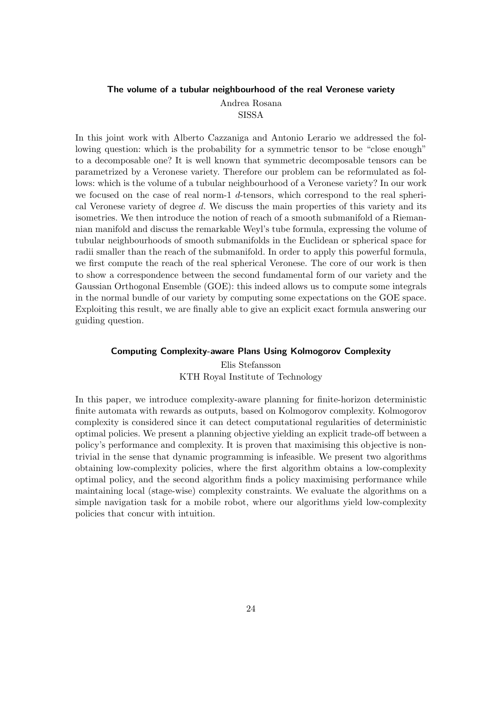### <span id="page-23-0"></span>The volume of a tubular neighbourhood of the real Veronese variety Andrea Rosana

SISSA

In this joint work with Alberto Cazzaniga and Antonio Lerario we addressed the following question: which is the probability for a symmetric tensor to be "close enough" to a decomposable one? It is well known that symmetric decomposable tensors can be parametrized by a Veronese variety. Therefore our problem can be reformulated as follows: which is the volume of a tubular neighbourhood of a Veronese variety? In our work we focused on the case of real norm-1  $d$ -tensors, which correspond to the real spherical Veronese variety of degree  $d$ . We discuss the main properties of this variety and its isometries. We then introduce the notion of reach of a smooth submanifold of a Riemannian manifold and discuss the remarkable Weyl's tube formula, expressing the volume of tubular neighbourhoods of smooth submanifolds in the Euclidean or spherical space for radii smaller than the reach of the submanifold. In order to apply this powerful formula, we first compute the reach of the real spherical Veronese. The core of our work is then to show a correspondence between the second fundamental form of our variety and the Gaussian Orthogonal Ensemble (GOE): this indeed allows us to compute some integrals in the normal bundle of our variety by computing some expectations on the GOE space. Exploiting this result, we are finally able to give an explicit exact formula answering our guiding question.

### <span id="page-23-1"></span>Computing Complexity-aware Plans Using Kolmogorov Complexity

Elis Stefansson KTH Royal Institute of Technology

In this paper, we introduce complexity-aware planning for finite-horizon deterministic finite automata with rewards as outputs, based on Kolmogorov complexity. Kolmogorov complexity is considered since it can detect computational regularities of deterministic optimal policies. We present a planning objective yielding an explicit trade-off between a policy's performance and complexity. It is proven that maximising this objective is nontrivial in the sense that dynamic programming is infeasible. We present two algorithms obtaining low-complexity policies, where the first algorithm obtains a low-complexity optimal policy, and the second algorithm finds a policy maximising performance while maintaining local (stage-wise) complexity constraints. We evaluate the algorithms on a simple navigation task for a mobile robot, where our algorithms yield low-complexity policies that concur with intuition.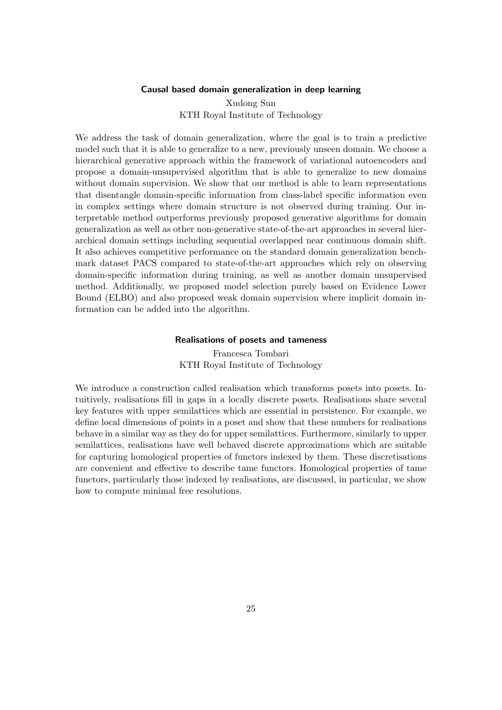### Causal based domain generalization in deep learning

Xudong Sun KTH Royal Institute of Technology

<span id="page-24-0"></span>We address the task of domain generalization, where the goal is to train a predictive model such that it is able to generalize to a new, previously unseen domain. We choose a hierarchical generative approach within the framework of variational autoencoders and propose a domain-unsupervised algorithm that is able to generalize to new domains without domain supervision. We show that our method is able to learn representations that disentangle domain-specific information from class-label specific information even in complex settings where domain structure is not observed during training. Our interpretable method outperforms previously proposed generative algorithms for domain generalization as well as other non-generative state-of-the-art approaches in several hierarchical domain settings including sequential overlapped near continuous domain shift. It also achieves competitive performance on the standard domain generalization benchmark dataset PACS compared to state-of-the-art approaches which rely on observing domain-specific information during training, as well as another domain unsupervised method. Additionally, we proposed model selection purely based on Evidence Lower Bound (ELBO) and also proposed weak domain supervision where implicit domain information can be added into the algorithm.

#### Realisations of posets and tameness

Francesca Tombari KTH Royal Institute of Technology

<span id="page-24-1"></span>We introduce a construction called realisation which transforms posets into posets. Intuitively, realisations fill in gaps in a locally discrete posets. Realisations share several key features with upper semilattices which are essential in persistence. For example, we define local dimensions of points in a poset and show that these numbers for realisations behave in a similar way as they do for upper semilattices. Furthermore, similarly to upper semilattices, realisations have well behaved discrete approximations which are suitable for capturing homological properties of functors indexed by them. These discretisations are convenient and effective to describe tame functors. Homological properties of tame functors, particularly those indexed by realisations, are discussed, in particular, we show how to compute minimal free resolutions.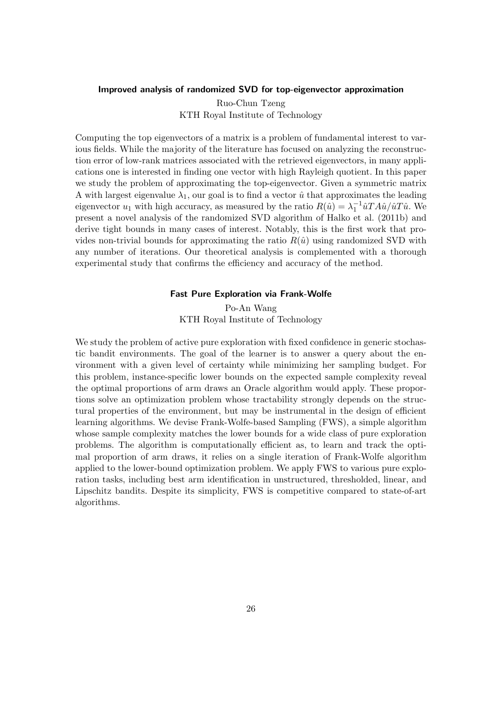### <span id="page-25-0"></span>Improved analysis of randomized SVD for top-eigenvector approximation

Ruo-Chun Tzeng KTH Royal Institute of Technology

Computing the top eigenvectors of a matrix is a problem of fundamental interest to various fields. While the majority of the literature has focused on analyzing the reconstruction error of low-rank matrices associated with the retrieved eigenvectors, in many applications one is interested in finding one vector with high Rayleigh quotient. In this paper we study the problem of approximating the top-eigenvector. Given a symmetric matrix A with largest eigenvalue  $\lambda_1$ , our goal is to find a vector  $\hat{u}$  that approximates the leading eigenvector  $u_1$  with high accuracy, as measured by the ratio  $R(\hat{u}) = \lambda_1^{-1} \hat{u} T A \hat{u} / \hat{u} T \hat{u}$ . We present a novel analysis of the randomized SVD algorithm of Halko et al. (2011b) and derive tight bounds in many cases of interest. Notably, this is the first work that provides non-trivial bounds for approximating the ratio  $R(\hat{u})$  using randomized SVD with any number of iterations. Our theoretical analysis is complemented with a thorough experimental study that confirms the efficiency and accuracy of the method.

### Fast Pure Exploration via Frank-Wolfe

Po-An Wang KTH Royal Institute of Technology

<span id="page-25-1"></span>We study the problem of active pure exploration with fixed confidence in generic stochastic bandit environments. The goal of the learner is to answer a query about the environment with a given level of certainty while minimizing her sampling budget. For this problem, instance-specific lower bounds on the expected sample complexity reveal the optimal proportions of arm draws an Oracle algorithm would apply. These proportions solve an optimization problem whose tractability strongly depends on the structural properties of the environment, but may be instrumental in the design of efficient learning algorithms. We devise Frank-Wolfe-based Sampling (FWS), a simple algorithm whose sample complexity matches the lower bounds for a wide class of pure exploration problems. The algorithm is computationally efficient as, to learn and track the optimal proportion of arm draws, it relies on a single iteration of Frank-Wolfe algorithm applied to the lower-bound optimization problem. We apply FWS to various pure exploration tasks, including best arm identification in unstructured, thresholded, linear, and Lipschitz bandits. Despite its simplicity, FWS is competitive compared to state-of-art algorithms.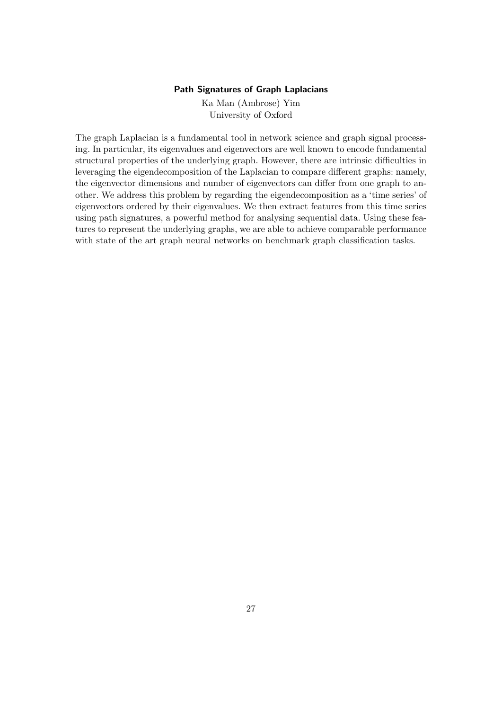### Path Signatures of Graph Laplacians

Ka Man (Ambrose) Yim University of Oxford

<span id="page-26-0"></span>The graph Laplacian is a fundamental tool in network science and graph signal processing. In particular, its eigenvalues and eigenvectors are well known to encode fundamental structural properties of the underlying graph. However, there are intrinsic difficulties in leveraging the eigendecomposition of the Laplacian to compare different graphs: namely, the eigenvector dimensions and number of eigenvectors can differ from one graph to another. We address this problem by regarding the eigendecomposition as a 'time series' of eigenvectors ordered by their eigenvalues. We then extract features from this time series using path signatures, a powerful method for analysing sequential data. Using these features to represent the underlying graphs, we are able to achieve comparable performance with state of the art graph neural networks on benchmark graph classification tasks.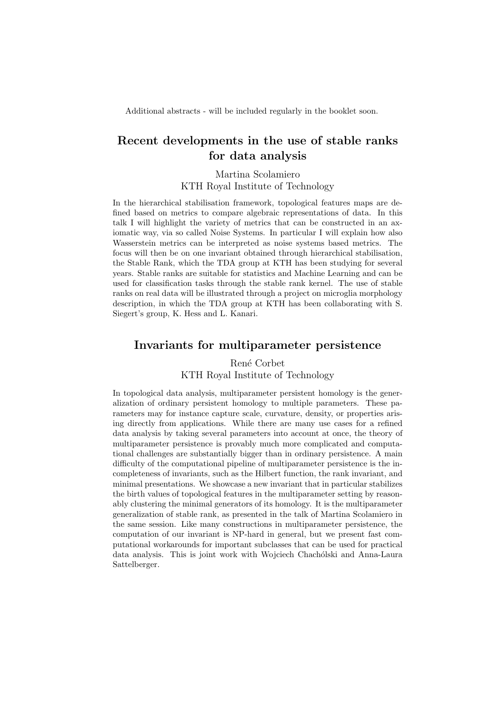Additional abstracts - will be included regularly in the booklet soon.

## Recent developments in the use of stable ranks for data analysis

Martina Scolamiero KTH Royal Institute of Technology

In the hierarchical stabilisation framework, topological features maps are defined based on metrics to compare algebraic representations of data. In this talk I will highlight the variety of metrics that can be constructed in an axiomatic way, via so called Noise Systems. In particular I will explain how also Wasserstein metrics can be interpreted as noise systems based metrics. The focus will then be on one invariant obtained through hierarchical stabilisation, the Stable Rank, which the TDA group at KTH has been studying for several years. Stable ranks are suitable for statistics and Machine Learning and can be used for classification tasks through the stable rank kernel. The use of stable ranks on real data will be illustrated through a project on microglia morphology description, in which the TDA group at KTH has been collaborating with S. Siegert's group, K. Hess and L. Kanari.

### Invariants for multiparameter persistence

### René Corbet KTH Royal Institute of Technology

In topological data analysis, multiparameter persistent homology is the generalization of ordinary persistent homology to multiple parameters. These parameters may for instance capture scale, curvature, density, or properties arising directly from applications. While there are many use cases for a refined data analysis by taking several parameters into account at once, the theory of multiparameter persistence is provably much more complicated and computational challenges are substantially bigger than in ordinary persistence. A main difficulty of the computational pipeline of multiparameter persistence is the incompleteness of invariants, such as the Hilbert function, the rank invariant, and minimal presentations. We showcase a new invariant that in particular stabilizes the birth values of topological features in the multiparameter setting by reasonably clustering the minimal generators of its homology. It is the multiparameter generalization of stable rank, as presented in the talk of Martina Scolamiero in the same session. Like many constructions in multiparameter persistence, the computation of our invariant is NP-hard in general, but we present fast computational workarounds for important subclasses that can be used for practical data analysis. This is joint work with Wojciech Chachólski and Anna-Laura Sattelberger.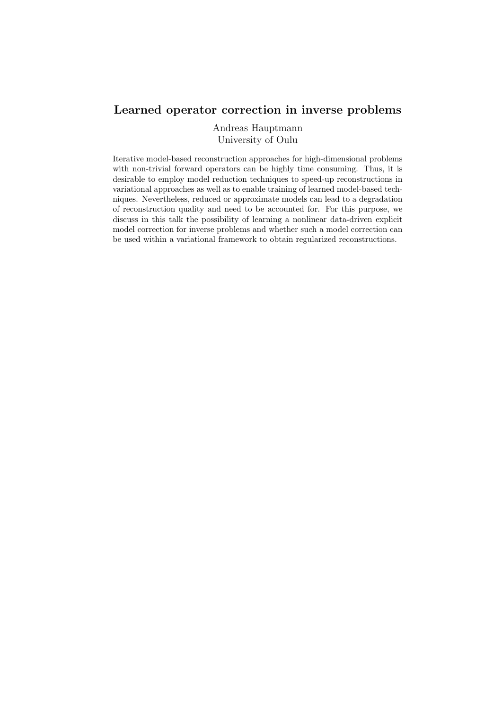## Learned operator correction in inverse problems

Andreas Hauptmann University of Oulu

Iterative model-based reconstruction approaches for high-dimensional problems with non-trivial forward operators can be highly time consuming. Thus, it is desirable to employ model reduction techniques to speed-up reconstructions in variational approaches as well as to enable training of learned model-based techniques. Nevertheless, reduced or approximate models can lead to a degradation of reconstruction quality and need to be accounted for. For this purpose, we discuss in this talk the possibility of learning a nonlinear data-driven explicit model correction for inverse problems and whether such a model correction can be used within a variational framework to obtain regularized reconstructions.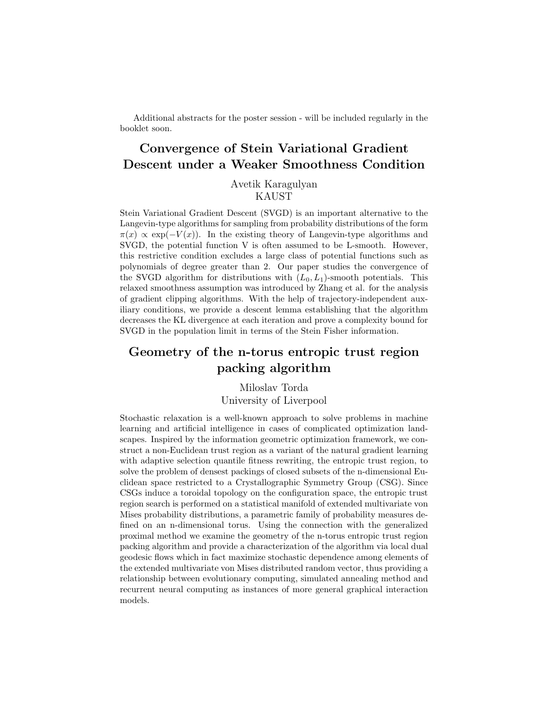Additional abstracts for the poster session - will be included regularly in the booklet soon.

# Convergence of Stein Variational Gradient Descent under a Weaker Smoothness Condition

Avetik Karagulyan KAUST

Stein Variational Gradient Descent (SVGD) is an important alternative to the Langevin-type algorithms for sampling from probability distributions of the form  $\pi(x) \propto \exp(-V(x))$ . In the existing theory of Langevin-type algorithms and SVGD, the potential function V is often assumed to be L-smooth. However, this restrictive condition excludes a large class of potential functions such as polynomials of degree greater than 2. Our paper studies the convergence of the SVGD algorithm for distributions with  $(L_0, L_1)$ -smooth potentials. This relaxed smoothness assumption was introduced by Zhang et al. for the analysis of gradient clipping algorithms. With the help of trajectory-independent auxiliary conditions, we provide a descent lemma establishing that the algorithm decreases the KL divergence at each iteration and prove a complexity bound for SVGD in the population limit in terms of the Stein Fisher information.

## Geometry of the n-torus entropic trust region packing algorithm

Miloslav Torda University of Liverpool

Stochastic relaxation is a well-known approach to solve problems in machine learning and artificial intelligence in cases of complicated optimization landscapes. Inspired by the information geometric optimization framework, we construct a non-Euclidean trust region as a variant of the natural gradient learning with adaptive selection quantile fitness rewriting, the entropic trust region, to solve the problem of densest packings of closed subsets of the n-dimensional Euclidean space restricted to a Crystallographic Symmetry Group (CSG). Since CSGs induce a toroidal topology on the configuration space, the entropic trust region search is performed on a statistical manifold of extended multivariate von Mises probability distributions, a parametric family of probability measures defined on an n-dimensional torus. Using the connection with the generalized proximal method we examine the geometry of the n-torus entropic trust region packing algorithm and provide a characterization of the algorithm via local dual geodesic flows which in fact maximize stochastic dependence among elements of the extended multivariate von Mises distributed random vector, thus providing a relationship between evolutionary computing, simulated annealing method and recurrent neural computing as instances of more general graphical interaction models.